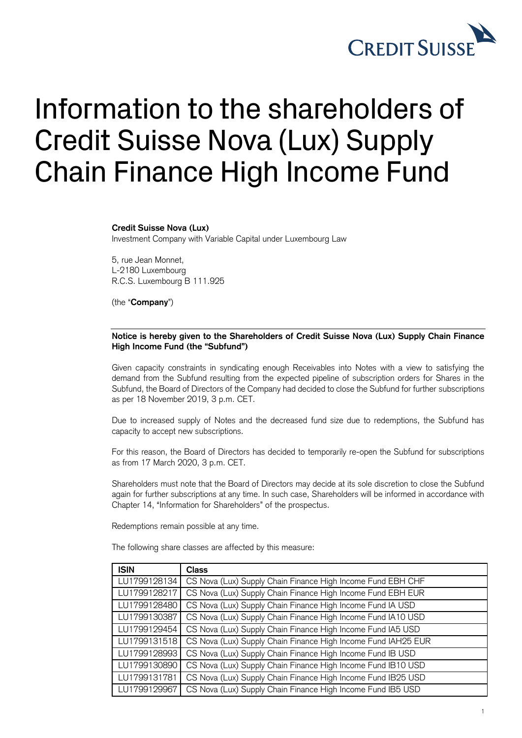

## Information to the shareholders of Credit Suisse Nova (Lux) Supply Chain Finance High Income Fund

## **Credit Suisse Nova (Lux)**

Investment Company with Variable Capital under Luxembourg Law

5, rue Jean Monnet, L-2180 Luxembourg R.C.S. Luxembourg B 111.925

(the "**Company**")

## **Notice is hereby given to the Shareholders of Credit Suisse Nova (Lux) Supply Chain Finance High Income Fund (the "Subfund")**

Given capacity constraints in syndicating enough Receivables into Notes with a view to satisfying the demand from the Subfund resulting from the expected pipeline of subscription orders for Shares in the Subfund, the Board of Directors of the Company had decided to close the Subfund for further subscriptions as per 18 November 2019, 3 p.m. CET.

Due to increased supply of Notes and the decreased fund size due to redemptions, the Subfund has capacity to accept new subscriptions.

For this reason, the Board of Directors has decided to temporarily re-open the Subfund for subscriptions as from 17 March 2020, 3 p.m. CET.

Shareholders must note that the Board of Directors may decide at its sole discretion to close the Subfund again for further subscriptions at any time. In such case, Shareholders will be informed in accordance with Chapter 14, "Information for Shareholders" of the prospectus.

Redemptions remain possible at any time.

The following share classes are affected by this measure:

| <b>ISIN</b>  | <b>Class</b>                                                  |
|--------------|---------------------------------------------------------------|
| LU1799128134 | CS Nova (Lux) Supply Chain Finance High Income Fund EBH CHF   |
| LU1799128217 | CS Nova (Lux) Supply Chain Finance High Income Fund EBH EUR   |
| LU1799128480 | CS Nova (Lux) Supply Chain Finance High Income Fund IA USD    |
| LU1799130387 | CS Nova (Lux) Supply Chain Finance High Income Fund IA10 USD  |
| LU1799129454 | CS Nova (Lux) Supply Chain Finance High Income Fund IA5 USD   |
| LU1799131518 | CS Nova (Lux) Supply Chain Finance High Income Fund IAH25 EUR |
| LU1799128993 | CS Nova (Lux) Supply Chain Finance High Income Fund IB USD    |
| LU1799130890 | CS Nova (Lux) Supply Chain Finance High Income Fund IB10 USD  |
| LU1799131781 | CS Nova (Lux) Supply Chain Finance High Income Fund IB25 USD  |
| LU1799129967 | CS Nova (Lux) Supply Chain Finance High Income Fund IB5 USD   |